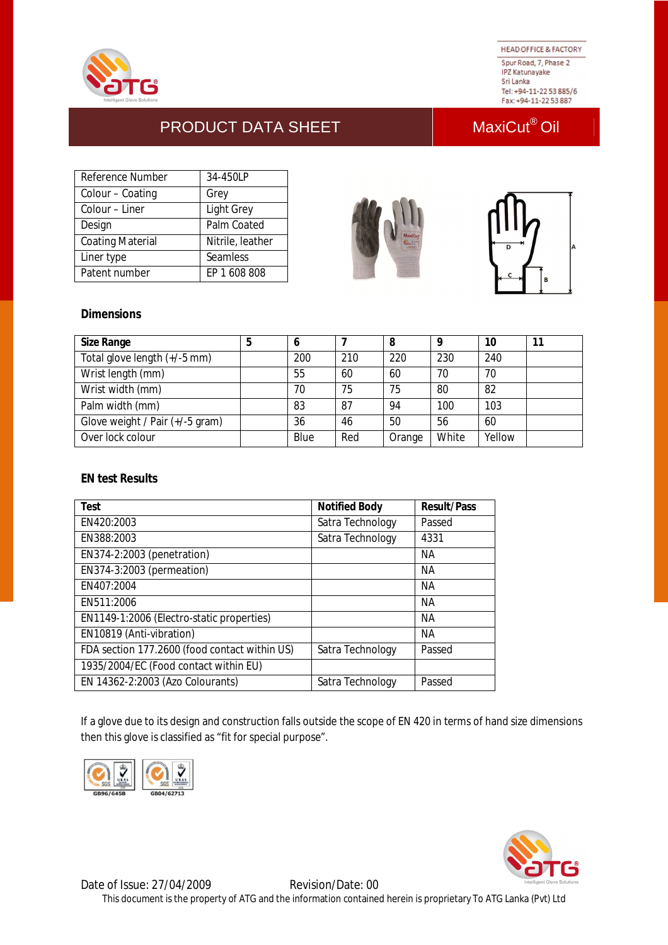

**HEAD OFFICE & FACTORY** Spur Road, 7, Phase 2 **IPZ Katunayake** Sri Lanka Tel: +94-11-22 53 885/6 Fax: +94-11-22 53 887

# PRODUCT DATA SHEET MaxiCut<sup>®</sup> Oil

| Reference Number        | 34-450LP          |
|-------------------------|-------------------|
| Colour - Coating        | Grey              |
| Colour – Liner          | <b>Light Grey</b> |
| Design                  | Palm Coated       |
| <b>Coating Material</b> | Nitrile, leather  |
| Liner type              | Seamless          |
| Patent number           | FP 1 608 808      |





## **Dimensions**

| <b>Size Range</b>               | э | O    |     | 8      |       | 10     |  |
|---------------------------------|---|------|-----|--------|-------|--------|--|
| Total glove length (+/-5 mm)    |   | 200  | 210 | 220    | 230   | 240    |  |
| Wrist length (mm)               |   | 55   | 60  | 60     | 70    | 70     |  |
| Wrist width (mm)                |   | 70   | 75  | 75     | 80    | 82     |  |
| Palm width (mm)                 |   | 83   | 87  | 94     | 100   | 103    |  |
| Glove weight / Pair (+/-5 gram) |   | 36   | 46  | 50     | 56    | 60     |  |
| Over lock colour                |   | Blue | Red | Orange | White | Yellow |  |

### **EN test Results**

| Test                                          | <b>Notified Body</b> | <b>Result/Pass</b> |
|-----------------------------------------------|----------------------|--------------------|
| EN420:2003                                    | Satra Technology     | Passed             |
| EN388:2003                                    | Satra Technology     | 4331               |
| EN374-2:2003 (penetration)                    |                      | NА                 |
| EN374-3:2003 (permeation)                     |                      | NА                 |
| EN407:2004                                    |                      | <b>NA</b>          |
| EN511:2006                                    |                      | <b>NA</b>          |
| EN1149-1:2006 (Electro-static properties)     |                      | <b>NA</b>          |
| EN10819 (Anti-vibration)                      |                      | <b>NA</b>          |
| FDA section 177.2600 (food contact within US) | Satra Technology     | Passed             |
| 1935/2004/EC (Food contact within EU)         |                      |                    |
| EN 14362-2:2003 (Azo Colourants)              | Satra Technology     | Passed             |

If a glove due to its design and construction falls outside the scope of EN 420 in terms of hand size dimensions then this glove is classified as "fit for special purpose".